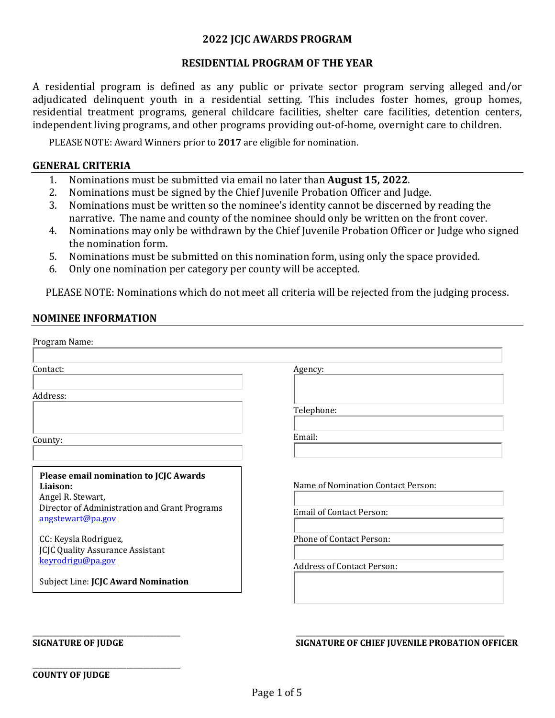### **2022 JCJC AWARDS PROGRAM**

#### **RESIDENTIAL PROGRAM OF THE YEAR**

A residential program is defined as any public or private sector program serving alleged and/or adjudicated delinquent youth in a residential setting. This includes foster homes, group homes, residential treatment programs, general childcare facilities, shelter care facilities, detention centers, independent living programs, and other programs providing out-of-home, overnight care to children.

PLEASE NOTE: Award Winners prior to **2017** are eligible for nomination.

#### **GENERAL CRITERIA**

- 1. Nominations must be submitted via email no later than **August 15, 2022**.
- 2. Nominations must be signed by the Chief Juvenile Probation Officer and Judge.<br>3. Nominations must be written so the nominee's identity cannot be discerned by
- 3. Nominations must be written so the nominee's identity cannot be discerned by reading the narrative. The name and county of the nominee should only be written on the front cover.
- 4. Nominations may only be withdrawn by the Chief Juvenile Probation Officer or Judge who signed the nomination form.
- 5. Nominations must be submitted on this nomination form, using only the space provided.<br>6. Only one nomination per category per county will be accepted.
- 6. Only one nomination per category per county will be accepted.

PLEASE NOTE: Nominations which do not meet all criteria will be rejected from the judging process.

#### **NOMINEE INFORMATION**

| Program Name:                                                      |                                    |
|--------------------------------------------------------------------|------------------------------------|
|                                                                    |                                    |
| Contact:                                                           | Agency:                            |
|                                                                    |                                    |
| Address:                                                           |                                    |
|                                                                    | Telephone:                         |
| County:                                                            | Email:                             |
|                                                                    |                                    |
| Please email nomination to JCJC Awards                             |                                    |
| Liaison:<br>Angel R. Stewart,                                      | Name of Nomination Contact Person: |
| Director of Administration and Grant Programs<br>angstewart@pa.gov | <b>Email of Contact Person:</b>    |
| CC: Keysla Rodriguez,<br><b>JCJC Quality Assurance Assistant</b>   | Phone of Contact Person:           |
| keyrodrigu@pa.gov                                                  | <b>Address of Contact Person:</b>  |
| Subject Line: JCJC Award Nomination                                |                                    |
|                                                                    |                                    |

**\_\_\_\_\_\_\_\_\_\_\_\_\_\_\_\_\_\_\_\_\_\_\_\_\_\_\_\_\_\_\_\_\_\_\_\_\_\_\_\_\_\_\_\_**

#### **\_\_\_\_\_\_\_\_\_\_\_\_\_\_\_\_\_\_\_\_\_\_\_\_\_\_\_\_\_\_\_\_\_\_\_\_\_\_\_\_\_\_\_\_ \_\_\_\_\_\_\_\_\_\_\_\_\_\_\_\_\_\_\_\_\_\_\_\_\_\_\_\_\_\_\_\_\_\_\_\_\_\_\_\_\_\_\_\_\_\_\_\_\_\_\_\_\_\_\_\_\_\_\_\_\_\_ SIGNATURE OF JUDGE SIGNATURE OF CHIEF JUVENILE PROBATION OFFICER**

#### **COUNTY OF JUDGE**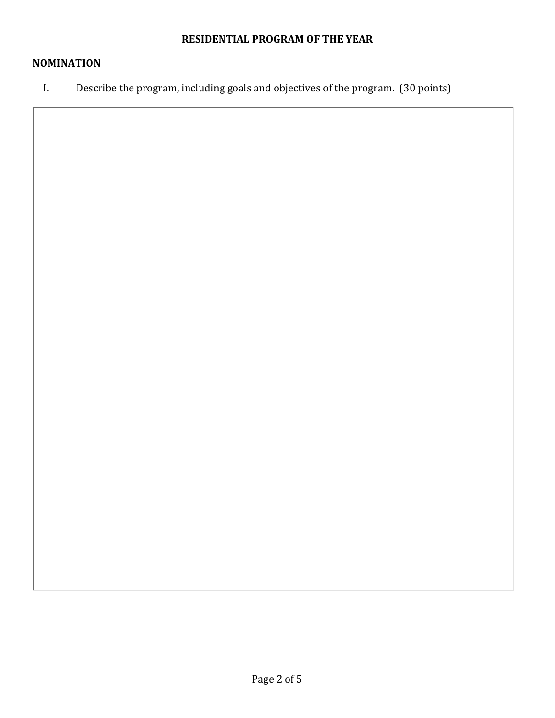# **NOMINATION**

I. Describe the program, including goals and objectives of the program. (30 points)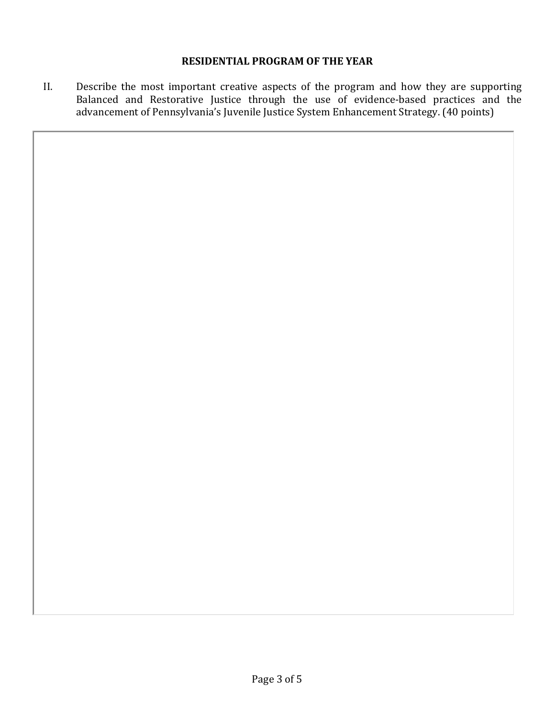# **RESIDENTIAL PROGRAM OF THE YEAR**

II. Describe the most important creative aspects of the program and how they are supporting Balanced and Restorative Justice through the use of evidence-based practices and the advancement of Pennsylvania's Juvenile Justice System Enhancement Strategy. (40 points)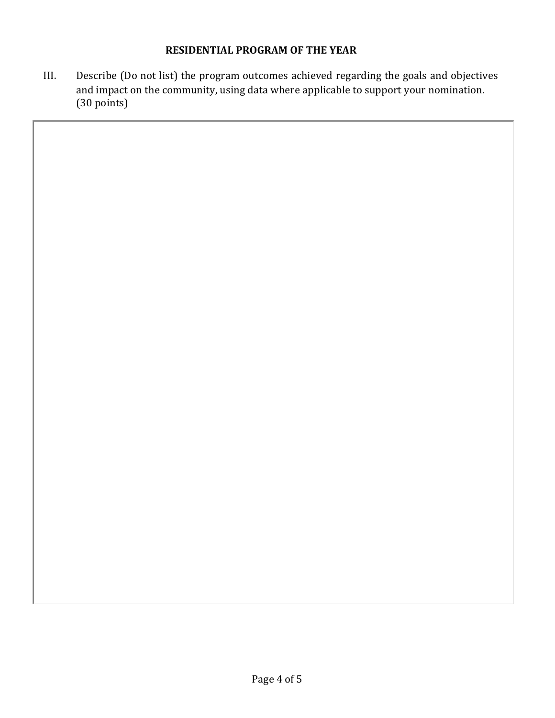# **RESIDENTIAL PROGRAM OF THE YEAR**

III. Describe (Do not list) the program outcomes achieved regarding the goals and objectives and impact on the community, using data where applicable to support your nomination. (30 points)